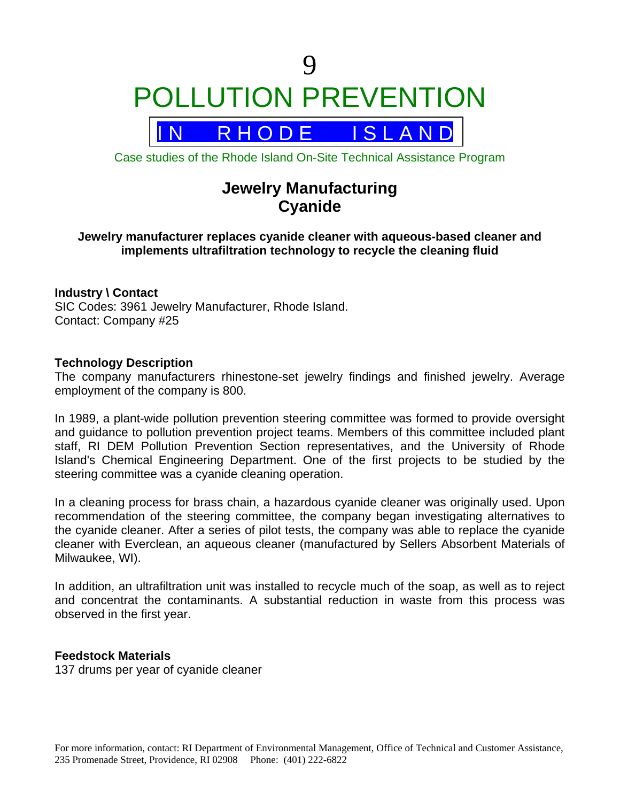**Q** POLLUTION PREVENTION

# R H O D E I S L A N D

Case studies of the Rhode Island On-Site Technical Assistance Program

# **Jewelry Manufacturing Cyanide**

# **Jewelry manufacturer replaces cyanide cleaner with aqueous-based cleaner and implements ultrafiltration technology to recycle the cleaning fluid**

# **Industry \ Contact**

SIC Codes: 3961 Jewelry Manufacturer, Rhode Island. Contact: Company #25

### **Technology Description**

The company manufacturers rhinestone-set jewelry findings and finished jewelry. Average employment of the company is 800.

In 1989, a plant-wide pollution prevention steering committee was formed to provide oversight and guidance to pollution prevention project teams. Members of this committee included plant staff, RI DEM Pollution Prevention Section representatives, and the University of Rhode Island's Chemical Engineering Department. One of the first projects to be studied by the steering committee was a cyanide cleaning operation.

In a cleaning process for brass chain, a hazardous cyanide cleaner was originally used. Upon recommendation of the steering committee, the company began investigating alternatives to the cyanide cleaner. After a series of pilot tests, the company was able to replace the cyanide cleaner with Everclean, an aqueous cleaner (manufactured by Sellers Absorbent Materials of Milwaukee, WI).

In addition, an ultrafiltration unit was installed to recycle much of the soap, as well as to reject and concentrat the contaminants. A substantial reduction in waste from this process was observed in the first year.

#### **Feedstock Materials**

137 drums per year of cyanide cleaner